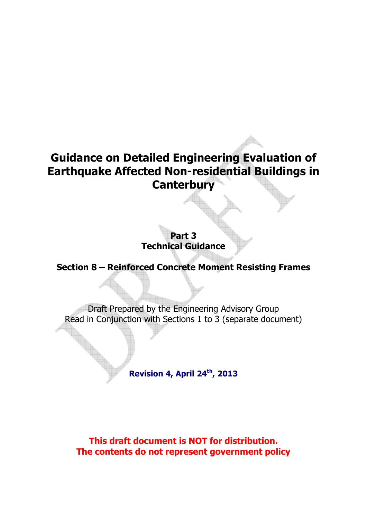# **Guidance on Detailed Engineering Evaluation of Earthquake Affected Non-residential Buildings in Canterbury**

**Part 3 Technical Guidance** 

**Section 8 – Reinforced Concrete Moment Resisting Frames** 

Draft Prepared by the Engineering Advisory Group Read in Conjunction with Sections 1 to 3 (separate document)

**Revision 4, April 24th, 2013** 

**This draft document is NOT for distribution. The contents do not represent government policy**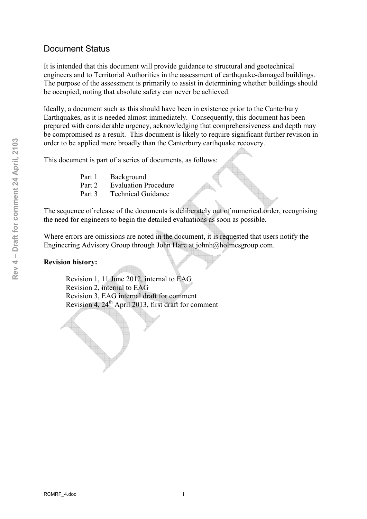### Document Status

It is intended that this document will provide guidance to structural and geotechnical engineers and to Territorial Authorities in the assessment of earthquake-damaged buildings. The purpose of the assessment is primarily to assist in determining whether buildings should be occupied, noting that absolute safety can never be achieved.

Ideally, a document such as this should have been in existence prior to the Canterbury Earthquakes, as it is needed almost immediately. Consequently, this document has been prepared with considerable urgency, acknowledging that comprehensiveness and depth may be compromised as a result. This document is likely to require significant further revision in order to be applied more broadly than the Canterbury earthquake recovery.

This document is part of a series of documents, as follows:

Part 1 Background Part 2 Evaluation Procedure Part 3 Technical Guidance

The sequence of release of the documents is deliberately out of numerical order, recognising the need for engineers to begin the detailed evaluations as soon as possible.

Where errors are omissions are noted in the document, it is requested that users notify the Engineering Advisory Group through John Hare at johnh@holmesgroup.com.

#### **Revision history:**

 Revision 1, 11 June 2012, internal to EAG Revision 2, internal to EAG Revision 3, EAG internal draft for comment Revision  $4, 24<sup>th</sup>$  April 2013, first draft for comment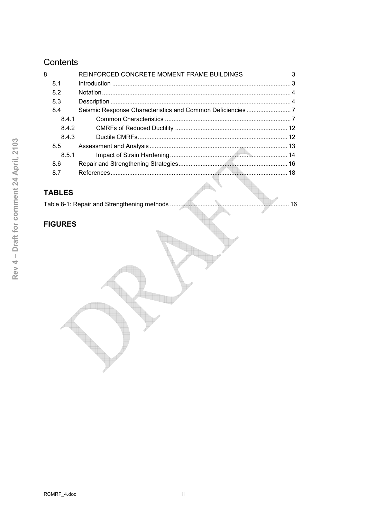## Contents

| 8 |       | REINFORCED CONCRETE MOMENT FRAME BUILDINGS |  |
|---|-------|--------------------------------------------|--|
|   | 8.1   |                                            |  |
|   | 8.2   |                                            |  |
|   | 8.3   |                                            |  |
|   | 8.4   |                                            |  |
|   | 8.4.1 |                                            |  |
|   | 8.4.2 |                                            |  |
|   | 8.4.3 |                                            |  |
|   | 8.5   |                                            |  |
|   | 8.5.1 |                                            |  |
|   | 8.6   |                                            |  |
|   | 8.7   |                                            |  |
|   |       |                                            |  |

## **TABLES**

## **FIGURES**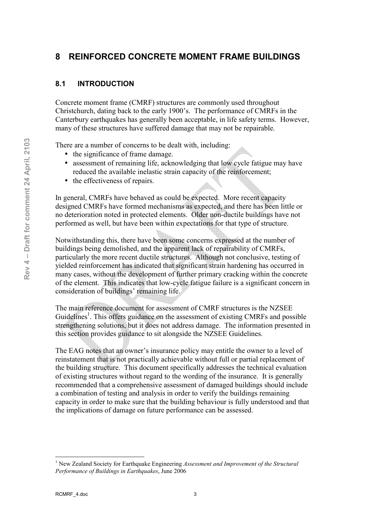## **8 REINFORCED CONCRETE MOMENT FRAME BUILDINGS**

#### **8.1 INTRODUCTION**

Concrete moment frame (CMRF) structures are commonly used throughout Christchurch, dating back to the early 1900's. The performance of CMRFs in the Canterbury earthquakes has generally been acceptable, in life safety terms. However, many of these structures have suffered damage that may not be repairable.

There are a number of concerns to be dealt with, including:

- the significance of frame damage.
- assessment of remaining life, acknowledging that low cycle fatigue may have reduced the available inelastic strain capacity of the reinforcement;
- the effectiveness of repairs.

In general, CMRFs have behaved as could be expected. More recent capacity designed CMRFs have formed mechanisms as expected, and there has been little or no deterioration noted in protected elements. Older non-ductile buildings have not performed as well, but have been within expectations for that type of structure.

Notwithstanding this, there have been some concerns expressed at the number of buildings being demolished, and the apparent lack of repairability of CMRFs, particularly the more recent ductile structures. Although not conclusive, testing of yielded reinforcement has indicated that significant strain hardening has occurred in many cases, without the development of further primary cracking within the concrete of the element. This indicates that lowcycle fatigue failure is a significant concern in consideration of buildings' remaining life.

The main reference document for assessment of CMRF structures is the NZSEE Guidelines<sup>1</sup>. This offers guidance on the assessment of existing CMRFs and possible strengthening solutions, but it does not address damage. The information presented in this section provides guidance to sit alongside the NZSEE Guidelines.

The EAG notes that an owner's insurance policy may entitle the owner to a level of reinstatement that is not practically achievable without full or partial replacement of the building structure. This document specifically addresses the technical evaluation of existing structures without regard to the wording of the insurance. It is generally recommended that a comprehensive assessment of damaged buildings should include a combination of testing and analysis in order to verify the buildings remaining capacity in order to make sure that the building behaviour is fully understood and that the implications of damage on future performance can be assessed.

<sup>&</sup>lt;sup>1</sup> New Zealand Society for Earthquake Engineering *Assessment and Improvement of the Structural Performance of Buildings in Earthquakes*, June 2006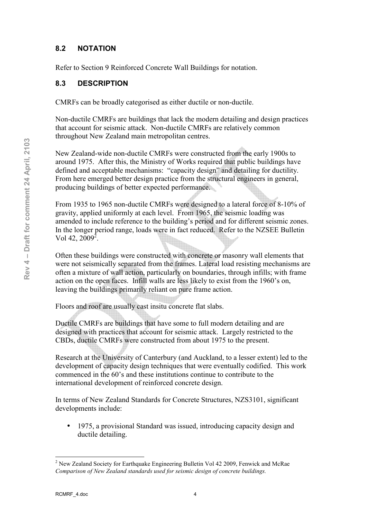#### **8.2 NOTATION**

Refer to Section 9 Reinforced Concrete Wall Buildings for notation.

#### **8.3 DESCRIPTION**

CMRFs can be broadly categorised as either ductile or non-ductile.

Non-ductile CMRFs are buildings that lack the modern detailing and design practices that account for seismic attack. Non-ductile CMRFs are relatively common throughout New Zealand main metropolitan centres.

New Zealand-wide non-ductile CMRFs were constructed from the early 1900s to around 1975. After this, the Ministry of Works required that public buildings have defined and acceptable mechanisms: "capacity design" and detailing for ductility. From here emerged better design practice from the structural engineers in general, producing buildings of better expected performance.

From 1935 to 1965 non-ductile CMRFs were designed to a lateral force of 8-10% of gravity, applied uniformly at each level. From 1965, the seismic loading was amended to include reference to the building's period and for different seismic zones. In the longer period range, loads were in fact reduced. Refer to the NZSEE Bulletin Vol 42,  $2009^2$ .

Often these buildings were constructed with concrete or masonry wall elements that were not seismically separated from the frames. Lateral load resisting mechanisms are often a mixture of wall action, particularly on boundaries, through infills; with frame action on the open faces. Infill walls are less likely to exist from the 1960's on, leaving the buildings primarily reliant on pure frame action.

Floors and roof are usually cast insitu concrete flat slabs.

Ductile CMRFs are buildings that have some to full modern detailing and are designed with practices that account for seismic attack. Largely restricted to the CBDs, ductile CMRFs were constructed from about 1975 to the present.

Research at the University of Canterbury (and Auckland, to a lesser extent) led to the development of capacity design techniques that were eventually codified. This work commenced in the 60's and these institutions continue to contribute to the international development of reinforced concrete design.

In terms of New Zealand Standards for Concrete Structures, NZS3101, significant developments include:

• 1975, a provisional Standard was issued, introducing capacity design and ductile detailing.

 $\overline{a}$  $2$  New Zealand Society for Earthquake Engineering Bulletin Vol 42 2009, Fenwick and McRae *Comparison of New Zealand standards used for seismic design of concrete buildings.*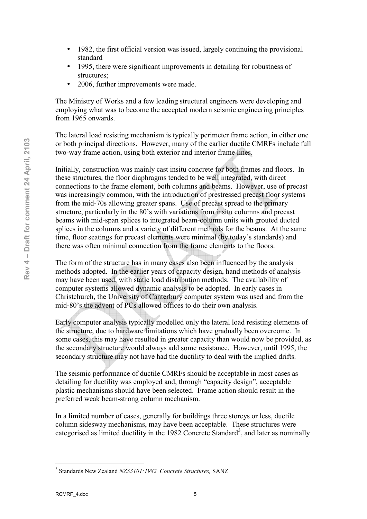- 1982, the first official version was issued, largely continuing the provisional standard
- 1995, there were significant improvements in detailing for robustness of structures;
- 2006, further improvements were made.

The Ministry of Works and a few leading structural engineers were developing and employing what was to become the accepted modern seismic engineering principles from 1965 onwards.

The lateral load resisting mechanism is typically perimeter frame action, in either one or both principal directions. However, many of the earlier ductile CMRFs include full two-way frame action, using both exterior and interior frame lines.

Initially, construction was mainly cast insitu concrete for both frames and floors. In these structures, the floor diaphragms tended to be well integrated, with direct connections to the frame element, both columns and beams. However, use of precast was increasingly common, with the introduction of prestressed precast floor systems from the mid-70s allowing greater spans. Use of precast spread to the primary structure, particularly in the 80's with variations from insitu columns and precast beams with mid-span splices to integrated beam-column units with grouted ducted splices in the columns and a variety of different methods for the beams. At the same time, floor seatings for precast elements were minimal (by today's standards) and there was often minimal connection from the frame elements to the floors.

The form of the structure has in many cases also been influenced by the analysis methods adopted. In the earlier years of capacity design, hand methods of analysis may have been used, with static load distribution methods. The availability of computer systems allowed dynamic analysis to be adopted. In early cases in Christchurch, the University of Canterbury computer system was used and from the mid-80's the advent of PCs allowed offices to do their own analysis.

Early computer analysis typically modelled only the lateral load resisting elements of the structure, due to hardware limitations which have gradually been overcome. In some cases, this may have resulted in greater capacity than would now be provided, as the secondary structure would always add some resistance. However, until 1995, the secondary structure may not have had the ductility to deal with the implied drifts.

The seismic performance of ductile CMRFs should be acceptable in most cases as detailing for ductility was employed and, through "capacity design", acceptable plastic mechanisms should have been selected. Frame action should result in the preferred weak beamstrong column mechanism.

In a limited number of cases, generally for buildings three storeys or less, ductile column sidesway mechanisms, may have been acceptable. These structures were categorised as limited ductility in the 1982 Concrete Standard<sup>3</sup>, and later as nominally

 3 Standards New Zealand *NZS3101:1982 Concrete Structures,* SANZ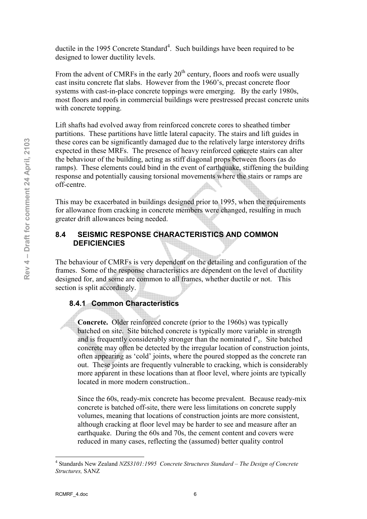ductile in the 1995 Concrete Standard<sup>4</sup>. Such buildings have been required to be designed to lower ductility levels.

From the advent of CMRFs in the early  $20<sup>th</sup>$  century, floors and roofs were usually cast insitu concrete flat slabs. However from the 1960's, precast concrete floor systems with cast-in-place concrete toppings were emerging. By the early 1980s, most floors and roofs in commercial buildings were prestressed precast concrete units with concrete topping.

Lift shafts had evolved away from reinforced concrete cores to sheathed timber partitions. These partitions have little lateral capacity. The stairs and lift guides in these cores can be significantly damaged due to the relatively large interstorey drifts expected in these MRFs. The presence of heavy reinforced concrete stairs can alter the behaviour of the building, acting as stiff diagonal props between floors (as do ramps). These elements could bind in the event of earthquake, stiffening the building response and potentially causing torsional movements where the stairs or ramps are off-centre.

This may be exacerbated in buildings designed prior to 1995, when the requirements for allowance from cracking in concrete members were changed, resulting in much greater drift allowances being needed.

#### **8.4 SEISMIC RESPONSE CHARACTERISTICS AND COMMON DEFICIENCIES**

The behaviour of CMRFs is very dependent on the detailing and configuration of the frames. Some of the response characteristics are dependent on the level of ductility designed for, and some are common to all frames, whether ductile or not. This section is split accordingly.

#### **8.4.1 Common Characteristics**

**Concrete.** Older reinforced concrete (prior to the 1960s) was typically batched on site. Site batched concrete is typically more variable in strength and is frequently considerably stronger than the nominated  $f<sub>c</sub>$ . Site batched concrete may often be detected by the irregular location of construction joints, often appearing as 'cold' joints, where the poured stopped as the concrete ran out. These joints are frequently vulnerable to cracking, which is considerably more apparent in these locations than at floor level, where joints are typically located in more modern construction..

Since the 60s, ready-mix concrete has become prevalent. Because ready-mix concrete is batched off-site, there were less limitations on concrete supply volumes, meaning that locations of construction joints are more consistent, although cracking at floor level may be harder to see and measure after an earthquake. During the 60s and 70s, the cement content and covers were reduced in many cases, reflecting the (assumed) better quality control

 $\overline{a}$ 4 Standards New Zealand *NZS3101:1995 Concrete Structures Standard – The Design of Concrete Structures,* SANZ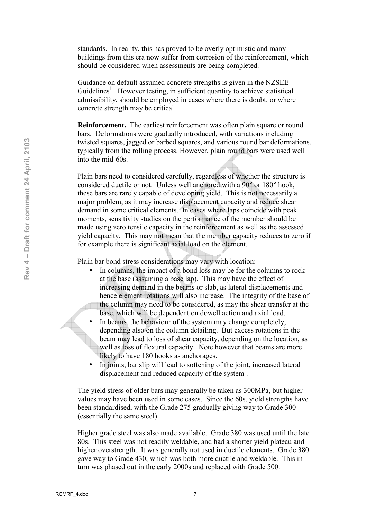standards. In reality, this has proved to be overly optimistic and many buildings from this era now suffer from corrosion of the reinforcement, which should be considered when assessments are being completed.

Guidance on default assumed concrete strengths is given in the NZSEE Guidelines<sup>1</sup>. However testing, in sufficient quantity to achieve statistical admissibility, should be employed in cases where there is doubt, or where concrete strength may be critical.

**Reinforcement.** The earliest reinforcement was often plain square or round bars. Deformations were gradually introduced, with variations including twisted squares, jagged or barbed squares, and various round bar deformations, typically from the rolling process. However, plain round bars were used well into the mid-60s.

Plain bars need to considered carefully, regardless of whether the structure is considered ductile or not. Unless well anchored with a 90° or 180° hook, these bars are rarely capable of developing yield. This is not necessarily a major problem, as it may increase displacement capacity and reduce shear demand in some critical elements. In cases where laps coincide with peak moments, sensitivity studies on the performance of the member should be made using zero tensile capacity in the reinforcement as well as the assessed yield capacity. This may not mean that the member capacity reduces to zero if for example there is significant axial load on the element.

Plain bar bond stress considerations may vary with location:

- In columns, the impact of a bond loss may be for the columns to rock at the base (assuming a base lap). This may have the effect of increasing demand in the beams or slab, as lateral displacements and hence element rotations will also increase. The integrity of the base of the column may need to be considered, as may the shear transfer at the base, which will be dependent on dowell action and axial load.
- In beams, the behaviour of the system may change completely, depending also on the column detailing. But excess rotations in the beam may lead to loss of shear capacity, depending on the location, as well as loss of flexural capacity. Note however that beams are more likely to have 180 hooks as anchorages.
- In joints, bar slip will lead to softening of the joint, increased lateral displacement and reduced capacity of the system .

The yield stress of older bars may generally be taken as 300MPa, but higher values may have been used in some cases. Since the 60s, yield strengths have been standardised, with the Grade 275 gradually giving way to Grade 300 (essentially the same steel).

Higher grade steel was also made available. Grade 380 was used until the late 80s. This steel was not readily weldable, and had a shorter yield plateau and higher overstrength. It was generally not used in ductile elements. Grade 380 gave way to Grade 430, which was both more ductile and weldable. This in turn was phased out in the early 2000s and replaced with Grade 500.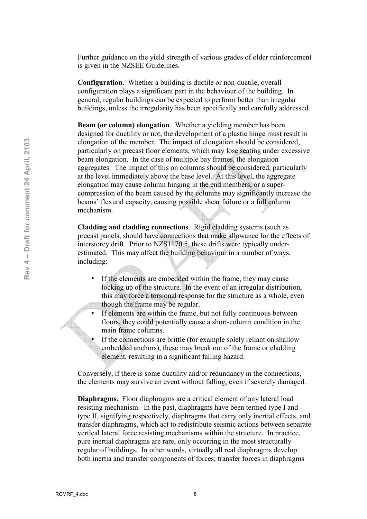Further guidance on the yield strength of various grades of older reinforcement is given in the NZSEE Guidelines.

**Configuration.** Whether a building is ductile or non-ductile, overall configuration plays a significant part in the behaviour of the building. In general, regular buildings can be expected to perform better than irregular buildings, unless the irregularity has been specifically and carefully addressed.

**Beam (or column) elongation**. Whether a yielding member has been designed for ductility or not, the development of a plastic hinge must result in elongation of the member. The impact of elongation should be considered, particularly on precast floor elements, which may lose seating under excessive beam elongation. In the case of multiple bay frames, the elongation aggregates. The impact of this on columns should be considered, particularly at the level immediately above the base level. At this level, the aggregate elongation may cause column hinging in the end members, or a super compression of the beam caused by the columns may significantly increase the beams' flexural capacity, causing possible shear failure or a full column mechanism.

**Cladding and cladding connections**. Rigid cladding systems (such as precast panels, should have connections that make allowance for the effects of interstorey drift. Prior to NZS1170.5, these drifts were typically under estimated. This may affect the building behaviour in a number of ways, including:

- If the elements are embedded within the frame, they may cause locking up of the structure. In the event of an irregular distribution, this may force a torsional response for the structure as a whole, even though the frame may be regular.
- If elements are within the frame, but not fully continuous between floors, they could potentially cause a short-column condition in the main frame columns.
- If the connections are brittle (for example solely reliant on shallow embedded anchors), these may break out of the frame or cladding element, resulting in a significant falling hazard.

Conversely, if there is some ductility and/or redundancy in the connections, the elements may survive an event without falling, even if severely damaged.

**Diaphragms.** Floor diaphragms are a critical element of any lateral load resisting mechanism. In the past, diaphragms have been termed type I and type II, signifying respectively, diaphragms that carry only inertial effects, and transfer diaphragms, which act to redistribute seismic actions between separate vertical lateral force resisting mechanisms within the structure. In practice, pure inertial diaphragms are rare, only occurring in the most structurally regular of buildings. In other words, virtually all real diaphragms develop both inertia and transfer components of forces; transfer forces in diaphragms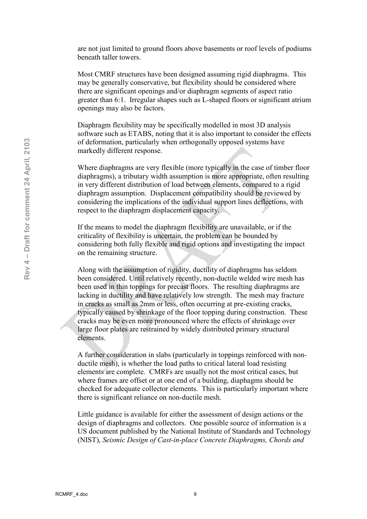are not just limited to ground floors above basements or roof levels of podiums beneath taller towers.

Most CMRF structures have been designed assuming rigid diaphragms. This may be generally conservative, but flexibility should be considered where there are significant openings and/or diaphragm segments of aspect ratio greater than 6:1. Irregular shapes such as L-shaped floors or significant atrium openings may also be factors.

Diaphragm flexibility may be specifically modelled in most 3D analysis software such as ETABS, noting that it is also important to consider the effects of deformation, particularly when orthogonally opposed systems have markedly different response.

Where diaphragms are very flexible (more typically in the case of timber floor diaphragms), a tributary width assumption is more appropriate, often resulting in very different distribution of load between elements, compared to a rigid diaphragm assumption. Displacement compatibility should be reviewed by considering the implications of the individual support lines deflections, with respect to the diaphragm displacement capacity.

If the means to model the diaphragm flexibility are unavailable, or if the criticality of flexibility is uncertain, the problem can be bounded by considering both fully flexible and rigid options and investigating the impact on the remaining structure.

Along with the assumption of rigidity, ductility of diaphragms has seldom been considered. Until relatively recently, non-ductile welded wire mesh has been used in thin toppings for precast floors. The resulting diaphragms are lacking in ductility and have relatively low strength. The mesh may fracture in cracks as small as 2mm or less, often occurring at pre-existing cracks, typically caused by shrinkage of the floor topping during construction. These cracks may be even more pronounced where the effects of shrinkage over large floor plates are restrained by widely distributed primary structural elements.

A further consideration in slabs (particularly in toppings reinforced with non ductile mesh), is whether the load paths to critical lateral load resisting elements are complete. CMRFs are usually not the most critical cases, but where frames are offset or at one end of a building, diaphagms should be checked for adequate collector elements. This is particularly important where there is significant reliance on non-ductile mesh.

Little guidance is available for either the assessment of design actions or the design of diaphragms and collectors. One possible source of information is a US document published by the National Institute of Standards and Technology (NIST), *Seismic Design of Cast.in.place Concrete Diaphragms, Chords and*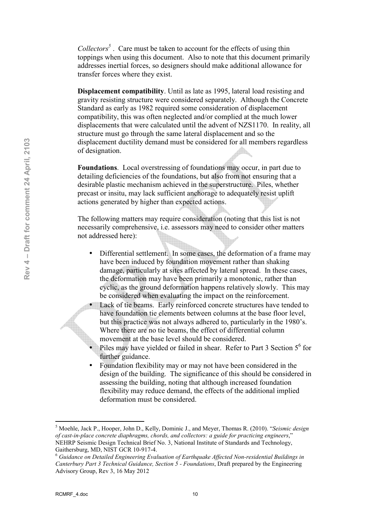*Collectors<sup>5</sup>* . Care must be taken to account for the effects of using thin toppings when using this document. Also to note that this document primarily addresses inertial forces, so designers should make additional allowance for transfer forces where they exist.

**Displacement compatibility**. Until as late as 1995, lateral load resisting and gravity resisting structure were considered separately. Although the Concrete Standard as early as 1982 required some consideration of displacement compatibility, this was often neglected and/or complied at the much lower displacements that were calculated until the advent of NZS1170. In reality, all structure must go through the same lateral displacement and so the displacement ductility demand must be considered for all members regardless of designation.

**Foundations**. Local overstressing of foundations may occur, in part due to detailing deficiencies of the foundations, but also from not ensuring that a desirable plastic mechanism achieved in the superstructure. Piles, whether precast or insitu, may lack sufficient anchorage to adequately resist uplift actions generated by higher than expected actions.

The following matters may require consideration (noting that this list is not necessarily comprehensive, i.e. assessors may need to consider other matters not addressed here):

- Differential settlement. In some cases, the deformation of a frame may have been induced by foundation movement rather than shaking damage, particularly at sites affected by lateral spread. In these cases, the deformation may have been primarily a monotonic, rather than cyclic, as the ground deformation happens relatively slowly. This may be considered when evaluating the impact on the reinforcement.
- Lack of tie beams. Early reinforced concrete structures have tended to have foundation tie elements between columns at the base floor level, but this practice was not always adhered to, particularly in the 1980's. Where there are no tie beams, the effect of differential column movement at the base level should be considered.
- Piles may have yielded or failed in shear. Refer to Part 3 Section  $5^6$  for further guidance.
- Foundation flexibility may or may not have been considered in the design of the building. The significance of this should be considered in assessing the building, noting that although increased foundation flexibility may reduce demand, the effects of the additional implied deformation must be considered.

<sup>5</sup> Moehle, Jack P., Hooper, John D., Kelly, Dominic J., and Meyer, Thomas R. (2010). "*Seismic design of cast.in.place concrete diaphragms, chords, and collectors: a guide for practicing engineers*," NEHRP Seismic Design Technical Brief No. 3, National Institute of Standards and Technology, Gaithersburg, MD, NIST GCR 10-917-4.

<sup>6</sup> *Guidance on Detailed Engineering Evaluation of Earthquake Affected Non.residential Buildings in Canterbury Part 3 Technical Guidance, Section 5 . Foundations*, Draft prepared by the Engineering Advisory Group, Rev 3, 16 May 2012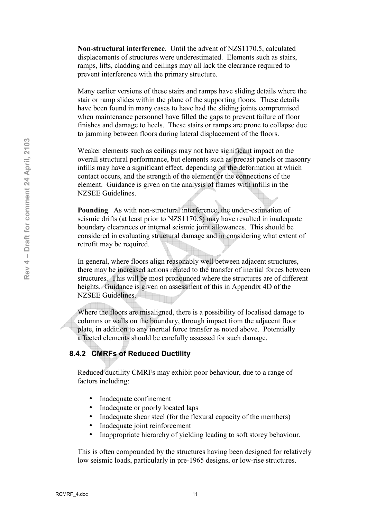**Non structural interference**. Until the advent of NZS1170.5, calculated displacements of structures were underestimated. Elements such as stairs, ramps, lifts, cladding and ceilings may all lack the clearance required to prevent interference with the primary structure.

Many earlier versions of these stairs and ramps have sliding details where the stair or ramp slides within the plane of the supporting floors. These details have been found in many cases to have had the sliding joints compromised when maintenance personnel have filled the gaps to prevent failure of floor finishes and damage to heels. These stairs or ramps are prone to collapse due to jamming between floors during lateral displacement of the floors.

Weaker elements such as ceilings may not have significant impact on the overall structural performance, but elements such as precast panels or masonry infills may have a significant effect, depending on the deformation at which contact occurs, and the strength of the element or the connections of the element. Guidance is given on the analysis of frames with infills in the NZSEE Guidelines.

**Pounding.** As with non-structural interference, the under-estimation of seismic drifts (at least prior to NZS1170.5) may have resulted in inadequate boundary clearances or internal seismic joint allowances. This should be considered in evaluating structural damage and in considering what extent of retrofit may be required.

In general, where floors align reasonably well between adjacent structures, there may be increased actions related to the transfer of inertial forces between structures. This will be most pronounced where the structures are of different heights. Guidance is given on assessment of this in Appendix 4D of the NZSEE Guidelines.

Where the floors are misaligned, there is a possibility of localised damage to columns or walls on the boundary, through impact from the adjacent floor plate, in addition to any inertial force transfer as noted above. Potentially affected elements should be carefully assessed for such damage.

#### **8.4.2 CMRFs of Reduced Ductility**

Reduced ductility CMRFs may exhibit poor behaviour, due to a range of factors including:

- Inadequate confinement
- Inadequate or poorly located laps
- Inadequate shear steel (for the flexural capacity of the members)
- Inadequate joint reinforcement
- Inappropriate hierarchy of yielding leading to soft storey behaviour.

This is often compounded by the structures having been designed for relatively low seismic loads, particularly in pre-1965 designs, or low-rise structures.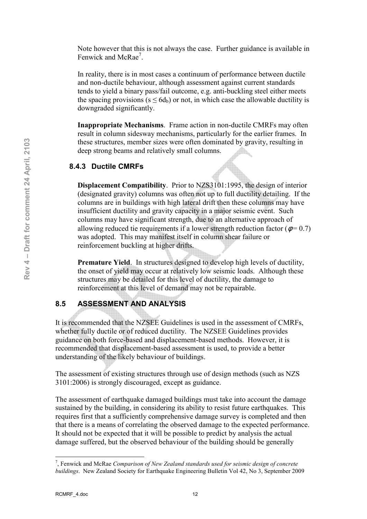Note however that this is not always the case. Further guidance is available in Fenwick and McRae<sup>7</sup>.

In reality, there is in most cases a continuum of performance between ductile and non-ductile behaviour, although assessment against current standards tends to yield a binary pass/fail outcome, e.g. anti-buckling steel either meets the spacing provisions ( $s \le 6d_b$ ) or not, in which case the allowable ductility is downgraded significantly.

**Inappropriate Mechanisms.** Frame action in non-ductile CMRFs may often result in column sidesway mechanisms, particularly for the earlier frames. In these structures, member sizes were often dominated by gravity, resulting in deep strong beams and relatively small columns.

#### **8.4.3 Ductile CMRFs**

**Displacement Compatibility**. Prior to NZS3101:1995, the design of interior (designated gravity) columns was often not up to full ductility detailing. If the columns are in buildings with high lateral drift then these columns may have insufficient ductility and gravity capacity in a major seismic event. Such columns may have significant strength, due to an alternative approach of allowing reduced tie requirements if a lower strength reduction factor ( $\phi = 0.7$ ) was adopted. This may manifest itself in column shear failure or reinforcement buckling at higher drifts.

**Premature Yield.** In structures designed to develop high levels of ductility, the onset of yield may occur at relatively low seismic loads. Although these structures may be detailed for this level of ductility, the damage to reinforcement at this level of demand may not be repairable.

#### **8.5 ASSESSMENT AND ANALYSIS**

It is recommended that the NZSEE Guidelines is used in the assessment of CMRFs, whether fully ductile or of reduced ductility. The NZSEE Guidelines provides guidance on both force-based and displacement-based methods. However, it is recommended that displacement-based assessment is used, to provide a better understanding of the likely behaviour of buildings.

The assessment of existing structures through use of design methods (such as NZS 3101:2006) is strongly discouraged, except as guidance.

The assessment of earthquake damaged buildings must take into account the damage sustained by the building, in considering its ability to resist future earthquakes. This requires first that a sufficiently comprehensive damage survey is completed and then that there is a means of correlating the observed damage to the expected performance. It should not be expected that it will be possible to predict by analysis the actual damage suffered, but the observed behaviour of the building should be generally

<sup>7</sup> , Fenwick and McRae *Comparison of New Zealand standards used for seismic design of concrete buildings*. New Zealand Society for Earthquake Engineering Bulletin Vol 42, No 3, September 2009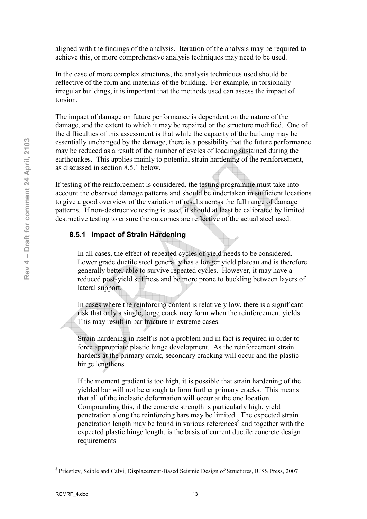aligned with the findings of the analysis. Iteration of the analysis may be required to achieve this, or more comprehensive analysis techniques may need to be used.

In the case of more complex structures, the analysis techniques used should be reflective of the form and materials of the building. For example, in torsionally irregular buildings, it is important that the methods used can assess the impact of torsion.

The impact of damage on future performance is dependent on the nature of the damage, and the extent to which it may be repaired or the structure modified. One of the difficulties of this assessment is that while the capacity of the building may be essentially unchanged by the damage, there is a possibility that the future performance may be reduced as a result of the number of cycles of loading sustained during the earthquakes. This applies mainly to potential strain hardening of the reinforcement, as discussed in section 8.5.1 below.

If testing of the reinforcement is considered, the testing programme must take into account the observed damage patterns and should be undertaken in sufficient locations to give a good overview of the variation of results across the full range of damage patterns. If non-destructive testing is used, it should at least be calibrated by limited destructive testing to ensure the outcomes are reflective of the actual steel used.

#### **8.5.1 Impact of Strain Hardening**

In all cases, the effect of repeated cycles of yield needs to be considered. Lower grade ductile steel generally has a longer yield plateau and is therefore generally better able to survive repeated cycles. However, it may have a reduced post-yield stiffness and be more prone to buckling between layers of lateral support.

In cases where the reinforcing content is relatively low, there is a significant risk that only a single, large crack may form when the reinforcement yields. This may result in bar fracture in extreme cases.

Strain hardening in itself is not a problem and in fact is required in order to force appropriate plastic hinge development. As the reinforcement strain hardens at the primary crack, secondary cracking will occur and the plastic hinge lengthens.

If the moment gradient is too high, it is possible that strain hardening of the yielded bar will not be enough to form further primary cracks. This means that all of the inelastic deformation will occur at the one location. Compounding this, if the concrete strength is particularly high, yield penetration along the reinforcing bars may be limited. The expected strain penetration length may be found in various references<sup>8</sup> and together with the expected plastic hinge length, is the basis of current ductile concrete design requirements

<sup>&</sup>lt;sup>8</sup> Priestley, Seible and Calvi, Displacement-Based Seismic Design of Structures, IUSS Press, 2007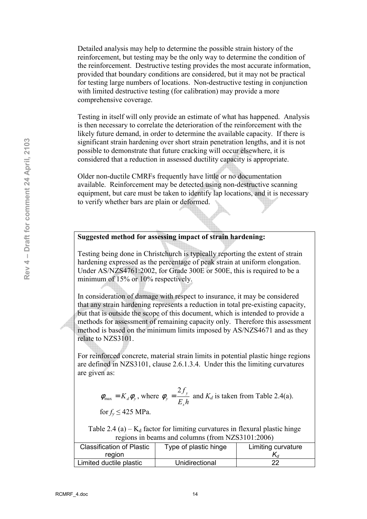Detailed analysis may help to determine the possible strain history of the reinforcement, but testing may be the only way to determine the condition of the reinforcement. Destructive testing provides the most accurate information, provided that boundary conditions are considered, but it may not be practical for testing large numbers of locations. Non-destructive testing in conjunction with limited destructive testing (for calibration) may provide a more comprehensive coverage.

Testing in itself will only provide an estimate of what has happened. Analysis is then necessary to correlate the deterioration of the reinforcement with the likely future demand, in order to determine the available capacity. If there is significant strain hardening over short strain penetration lengths, and it is not possible to demonstrate that future cracking will occur elsewhere, it is considered that a reduction in assessed ductility capacity is appropriate.

Older non-ductile CMRFs frequently have little or no documentation available. Reinforcement may be detected using non-destructive scanning equipment, but care must be taken to identify lap locations, and it is necessary to verify whether bars are plain or deformed.

#### **Suggested method for assessing impact of strain hardening:**

Testing being done in Christchurch is typically reporting the extent of strain hardening expressed as the percentage of peak strain at uniform elongation. Under AS/NZS4761:2002, for Grade 300E or 500E, this is required to be a minimum of 15% or 10% respectively.

In consideration of damage with respect to insurance, it may be considered that any strain hardening represents a reduction in total pre-existing capacity, but that is outside the scope of this document, which is intended to provide a methods for assessment of remaining capacity only. Therefore this assessment method is based on the minimum limits imposed by AS/NZS4671 and as they relate to NZS3101.

For reinforced concrete, material strain limits in potential plastic hinge regions are defined in NZS3101, clause 2.6.1.3.4. Under this the limiting curvatures are given as:

$$
\phi_{\text{max}} = K_d \phi_y
$$
, where  $\phi_y = \frac{2f_y}{E_s h}$  and  $K_d$  is taken from Table 2.4(a).

for  $f_v \leq 425$  MPa.

Table 2.4 (a) –  $K_d$  factor for limiting curvatures in flexural plastic hinge regions in beams and columns (from NZS3101:2006)

| <b>Classification of Plastic</b> | Type of plastic hinge | Limiting curvature |  |
|----------------------------------|-----------------------|--------------------|--|
| region                           |                       |                    |  |
| Limited ductile plastic          | Unidirectional        | າາ                 |  |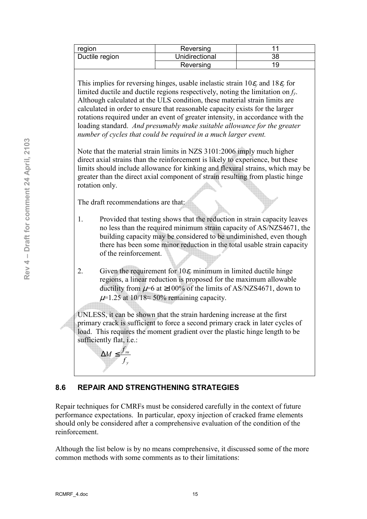| region         | Reversing      |          |
|----------------|----------------|----------|
| Ductile region | Unidirectional | 20<br>JС |
|                | Reversing      |          |

This implies for reversing hinges, usable inelastic strain  $10\varepsilon$ <sub>*y*</sub> and  $18\varepsilon$ <sub>*y*</sub> for limited ductile and ductile regions respectively, noting the limitation on *fy*. Although calculated at the ULS condition, these material strain limits are calculated in order to ensure that reasonable capacity exists for the larger rotations required under an event of greater intensity, in accordance with the loading standard. *And presumably make suitable allowance for the greater number of cycles that could be required in a much larger event.* 

Note that the material strain limits in NZS 3101:2006 imply much higher direct axial strains than the reinforcement is likely to experience, but these limits should include allowance for kinking and flexural strains, which may be greater than the direct axial component of strain resulting from plastic hinge rotation only.

The draft recommendations are that:

- 1. Provided that testing shows that the reduction in strain capacity leaves no less than the required minimum strain capacity of AS/NZS4671, the building capacity may be considered to be undiminished, even though there has been some minor reduction in the total usable strain capacity of the reinforcement.
- 2. Given the requirement for  $10\varepsilon$ <sub>*v*</sub> minimum in limited ductile hinge regions, a linear reduction is proposed for the maximum allowable ductility from  $\mu$ =6 at ≥100% of the limits of AS/NZS4671, down to  $\mu$ =1.25 at 10/18≈ 50% remaining capacity.

UNLESS, it can be shown that the strain hardening increase at the first primary crack is sufficient to force a second primary crack in later cycles of load. This requires the moment gradient over the plastic hinge length to be sufficiently flat, i.e.:

#### **8.6 REPAIR AND STRENGTHENING STRATEGIES**

*y su f*  $\Delta M \leq \frac{f_{su}}{f}$ 

Repair techniques for CMRFs must be considered carefully in the context of future performance expectations. In particular, epoxy injection of cracked frame elements should only be considered after a comprehensive evaluation of the condition of the reinforcement.

Although the list below is by no means comprehensive, it discussed some of the more common methods with some comments as to their limitations: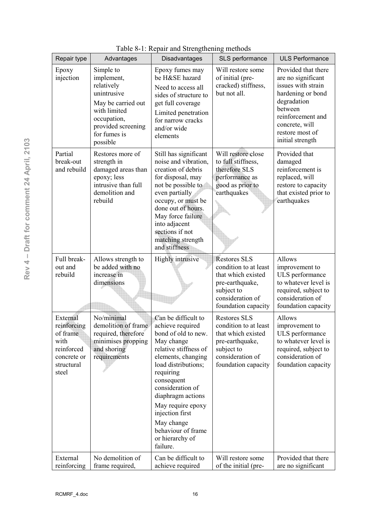| Repair type                                                                                     | Advantages                                                                                                                                                  | raone o-r. Repair and buengenemig memods<br>Disadvantages                                                                                                                                                                                                                                                                         | SLS performance                                                                                                                                | <b>ULS Performance</b>                                                                                                                                                                       |
|-------------------------------------------------------------------------------------------------|-------------------------------------------------------------------------------------------------------------------------------------------------------------|-----------------------------------------------------------------------------------------------------------------------------------------------------------------------------------------------------------------------------------------------------------------------------------------------------------------------------------|------------------------------------------------------------------------------------------------------------------------------------------------|----------------------------------------------------------------------------------------------------------------------------------------------------------------------------------------------|
| Epoxy<br>injection                                                                              | Simple to<br>implement,<br>relatively<br>unintrusive<br>May be carried out<br>with limited<br>occupation,<br>provided screening<br>for fumes is<br>possible | Epoxy fumes may<br>be H&SE hazard<br>Need to access all<br>sides of structure to<br>get full coverage<br>Limited penetration<br>for narrow cracks<br>and/or wide<br>elements                                                                                                                                                      | Will restore some<br>of initial (pre-<br>cracked) stiffness,<br>but not all.                                                                   | Provided that there<br>are no significant<br>issues with strain<br>hardening or bond<br>degradation<br>between<br>reinforcement and<br>concrete, will<br>restore most of<br>initial strength |
| Partial<br>break-out<br>and rebuild                                                             | Restores more of<br>strength in<br>damaged areas than<br>epoxy; less<br>intrusive than full<br>demolition and<br>rebuild                                    | Still has significant<br>noise and vibration,<br>creation of debris<br>for disposal, may<br>not be possible to<br>even partially<br>occupy, or must be<br>done out of hours.<br>May force failure<br>into adjacent<br>sections if not<br>matching strength<br>and stiffness                                                       | Will restore close<br>to full stiffness,<br>therefore SLS<br>performance as<br>good as prior to<br>earthquakes                                 | Provided that<br>damaged<br>reinforcement is<br>replaced, will<br>restore to capacity<br>that existed prior to<br>earthquakes                                                                |
| Full break-<br>out and<br>rebuild                                                               | Allows strength to<br>be added with no<br>increase in<br>dimensions                                                                                         | Highly intrusive                                                                                                                                                                                                                                                                                                                  | <b>Restores SLS</b><br>condition to at least<br>that which existed<br>pre-earthquake,<br>subject to<br>consideration of<br>foundation capacity | Allows<br>improvement to<br>ULS performance<br>to whatever level is<br>required, subject to<br>consideration of<br>foundation capacity                                                       |
| External<br>reinforcing<br>of frame<br>with<br>reinforced<br>concrete or<br>structural<br>steel | No/minimal<br>demolition of frame<br>required, therefore<br>minimises propping<br>and shoring<br>requirements                                               | Can be difficult to<br>achieve required<br>bond of old to new.<br>May change<br>relative stiffness of<br>elements, changing<br>load distributions;<br>requiring<br>consequent<br>consideration of<br>diaphragm actions<br>May require epoxy<br>injection first<br>May change<br>behaviour of frame<br>or hierarchy of<br>failure. | <b>Restores SLS</b><br>condition to at least<br>that which existed<br>pre-earthquake,<br>subject to<br>consideration of<br>foundation capacity | Allows<br>improvement to<br>ULS performance<br>to whatever level is<br>required, subject to<br>consideration of<br>foundation capacity                                                       |
| External<br>reinforcing                                                                         | No demolition of<br>frame required,                                                                                                                         | Can be difficult to<br>achieve required                                                                                                                                                                                                                                                                                           | Will restore some<br>of the initial (pre-                                                                                                      | Provided that there<br>are no significant                                                                                                                                                    |

Table 8-1: Repair and Strengthening methods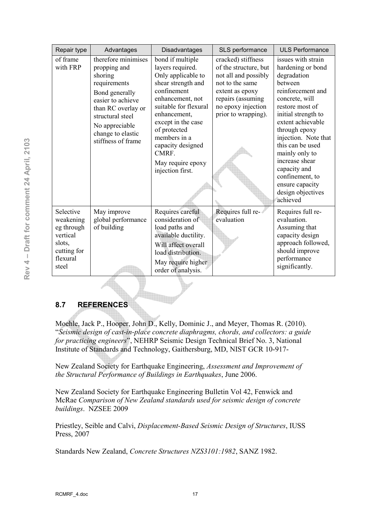| Repair type                                                                                    | Advantages                                                                                                                                                                                                   | Disadvantages                                                                                                                                                                                                                                                                             | SLS performance                                                                                                                                                             | <b>ULS Performance</b>                                                                                                                                                                                                                                                                                                                                          |
|------------------------------------------------------------------------------------------------|--------------------------------------------------------------------------------------------------------------------------------------------------------------------------------------------------------------|-------------------------------------------------------------------------------------------------------------------------------------------------------------------------------------------------------------------------------------------------------------------------------------------|-----------------------------------------------------------------------------------------------------------------------------------------------------------------------------|-----------------------------------------------------------------------------------------------------------------------------------------------------------------------------------------------------------------------------------------------------------------------------------------------------------------------------------------------------------------|
| of frame<br>with FRP                                                                           | therefore minimises<br>propping and<br>shoring<br>requirements<br>Bond generally<br>easier to achieve<br>than RC overlay or<br>structural steel<br>No appreciable<br>change to elastic<br>stiffness of frame | bond if multiple<br>layers required.<br>Only applicable to<br>shear strength and<br>confinement<br>enhancement, not<br>suitable for flexural<br>enhancement,<br>except in the case<br>of protected<br>members in a<br>capacity designed<br>CMRF.<br>May require epoxy<br>injection first. | cracked) stiffness<br>of the structure, but<br>not all and possibly<br>not to the same<br>extent as epoxy<br>repairs (assuming<br>no epoxy injection<br>prior to wrapping). | issues with strain<br>hardening or bond<br>degradation<br>between<br>reinforcement and<br>concrete, will<br>restore most of<br>initial strength to<br>extent achievable<br>through epoxy<br>injection. Note that<br>this can be used<br>mainly only to<br>increase shear<br>capacity and<br>confinement, to<br>ensure capacity<br>design objectives<br>achieved |
| Selective<br>weakening<br>eg through<br>vertical<br>slots,<br>cutting for<br>flexural<br>steel | May improve<br>global performance<br>of building                                                                                                                                                             | Requires careful<br>consideration of<br>load paths and<br>available ductility.<br>Will affect overall<br>load distribution.<br>May require higher<br>order of analysis.                                                                                                                   | Requires full re-<br>evaluation                                                                                                                                             | Requires full re-<br>evaluation.<br>Assuming that<br>capacity design<br>approach followed,<br>should improve<br>performance<br>significantly.                                                                                                                                                                                                                   |

### **8.7 REFERENCES**

Moehle, Jack P., Hooper, John D., Kelly, Dominic J., and Meyer, Thomas R. (2010). "*Seismic design of cast.in.place concrete diaphragms, chords, and collectors: a guide for practicing engineers*", NEHRP Seismic Design Technical Brief No. 3, National Institute of Standards and Technology, Gaithersburg, MD, NIST GCR 10-917-

New Zealand Society for Earthquake Engineering, *Assessment and Improvement of the Structural Performance of Buildings in Earthquakes*, June 2006.

New Zealand Society for Earthquake Engineering Bulletin Vol 42, Fenwick and McRae *Comparison of New Zealand standards used for seismic design of concrete buildings*. NZSEE 2009

Priestley, Seible and Calvi, *Displacement.Based Seismic Design of Structures*, IUSS Press, 2007

Standards New Zealand, *Concrete Structures NZS3101:1982*, SANZ 1982.